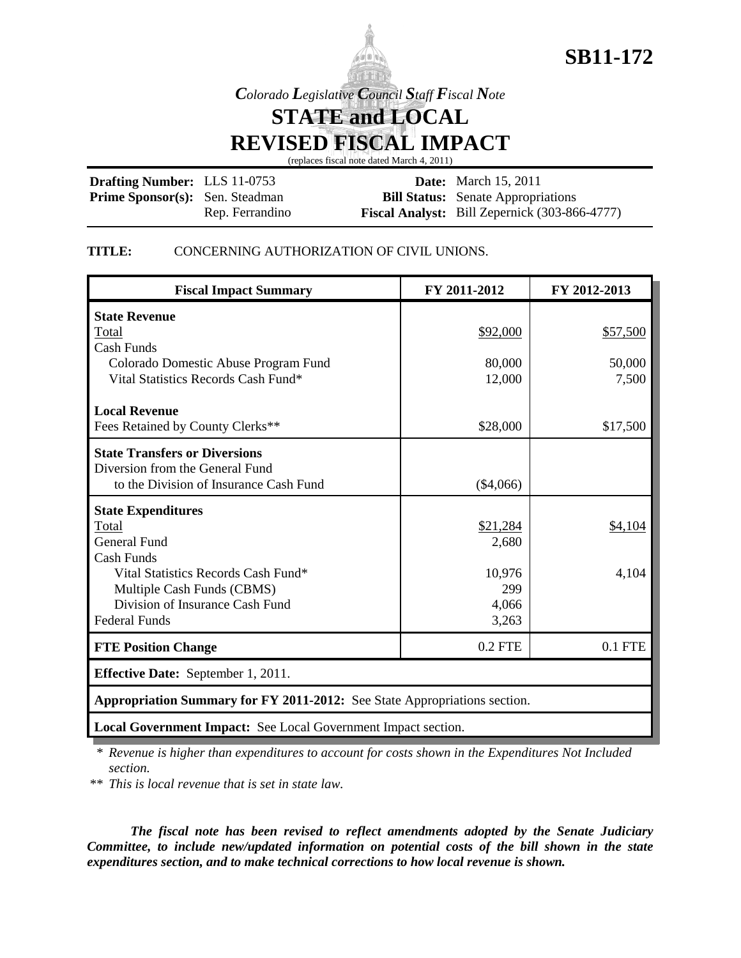

# **SB11-172**

*Colorado Legislative Council Staff Fiscal Note*

**STATE and LOCAL**

**REVISED FISCAL IMPACT**

(replaces fiscal note dated March 4, 2011)

| <b>Drafting Number: LLS 11-0753</b>    |                 | <b>Date:</b> March 15, 2011                          |
|----------------------------------------|-----------------|------------------------------------------------------|
| <b>Prime Sponsor(s):</b> Sen. Steadman |                 | <b>Bill Status:</b> Senate Appropriations            |
|                                        | Rep. Ferrandino | <b>Fiscal Analyst:</b> Bill Zepernick (303-866-4777) |

## **TITLE:** CONCERNING AUTHORIZATION OF CIVIL UNIONS.

| <b>Fiscal Impact Summary</b>                                              | FY 2011-2012 | FY 2012-2013 |  |  |  |
|---------------------------------------------------------------------------|--------------|--------------|--|--|--|
| <b>State Revenue</b>                                                      |              |              |  |  |  |
| Total                                                                     | \$92,000     | \$57,500     |  |  |  |
| <b>Cash Funds</b>                                                         |              |              |  |  |  |
| Colorado Domestic Abuse Program Fund                                      | 80,000       | 50,000       |  |  |  |
| Vital Statistics Records Cash Fund*                                       | 12,000       | 7,500        |  |  |  |
| <b>Local Revenue</b>                                                      |              |              |  |  |  |
| Fees Retained by County Clerks**                                          | \$28,000     | \$17,500     |  |  |  |
| <b>State Transfers or Diversions</b>                                      |              |              |  |  |  |
| Diversion from the General Fund                                           |              |              |  |  |  |
| to the Division of Insurance Cash Fund                                    | (\$4,066)    |              |  |  |  |
| <b>State Expenditures</b>                                                 |              |              |  |  |  |
| Total                                                                     | \$21,284     | \$4,104      |  |  |  |
| <b>General Fund</b>                                                       | 2,680        |              |  |  |  |
| <b>Cash Funds</b>                                                         |              |              |  |  |  |
| Vital Statistics Records Cash Fund*                                       | 10,976       | 4,104        |  |  |  |
| Multiple Cash Funds (CBMS)                                                | 299          |              |  |  |  |
| Division of Insurance Cash Fund                                           | 4,066        |              |  |  |  |
| <b>Federal Funds</b>                                                      | 3,263        |              |  |  |  |
| <b>FTE Position Change</b>                                                | $0.2$ FTE    | $0.1$ FTE    |  |  |  |
| <b>Effective Date:</b> September 1, 2011.                                 |              |              |  |  |  |
| Appropriation Summary for FY 2011-2012: See State Appropriations section. |              |              |  |  |  |
| Local Government Impact: See Local Government Impact section.             |              |              |  |  |  |

\* *Revenue is higher than expenditures to account for costs shown in the Expenditures Not Included section.*

\*\* *This is local revenue that is set in state law.*

*The fiscal note has been revised to reflect amendments adopted by the Senate Judiciary Committee, to include new/updated information on potential costs of the bill shown in the state expenditures section, and to make technical corrections to how local revenue is shown.*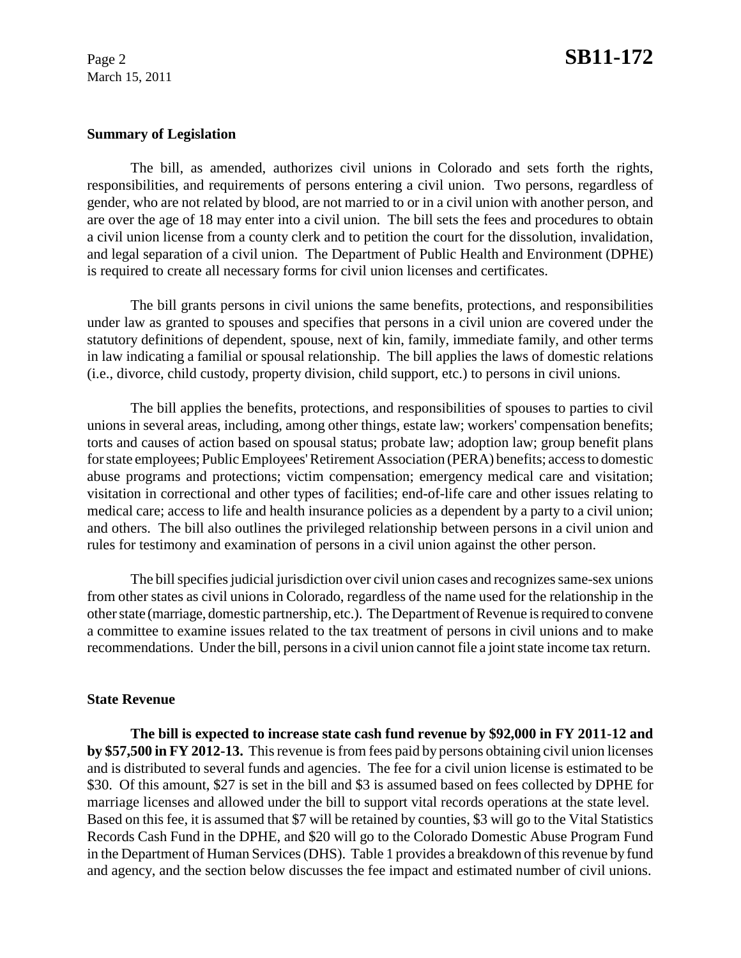#### **Summary of Legislation**

The bill, as amended, authorizes civil unions in Colorado and sets forth the rights, responsibilities, and requirements of persons entering a civil union. Two persons, regardless of gender, who are not related by blood, are not married to or in a civil union with another person, and are over the age of 18 may enter into a civil union. The bill sets the fees and procedures to obtain a civil union license from a county clerk and to petition the court for the dissolution, invalidation, and legal separation of a civil union. The Department of Public Health and Environment (DPHE) is required to create all necessary forms for civil union licenses and certificates.

The bill grants persons in civil unions the same benefits, protections, and responsibilities under law as granted to spouses and specifies that persons in a civil union are covered under the statutory definitions of dependent, spouse, next of kin, family, immediate family, and other terms in law indicating a familial or spousal relationship. The bill applies the laws of domestic relations (i.e., divorce, child custody, property division, child support, etc.) to persons in civil unions.

The bill applies the benefits, protections, and responsibilities of spouses to parties to civil unions in several areas, including, among other things, estate law; workers' compensation benefits; torts and causes of action based on spousal status; probate law; adoption law; group benefit plans for state employees; Public Employees' Retirement Association (PERA) benefits; access to domestic abuse programs and protections; victim compensation; emergency medical care and visitation; visitation in correctional and other types of facilities; end-of-life care and other issues relating to medical care; access to life and health insurance policies as a dependent by a party to a civil union; and others. The bill also outlines the privileged relationship between persons in a civil union and rules for testimony and examination of persons in a civil union against the other person.

The bill specifies judicial jurisdiction over civil union cases and recognizes same-sex unions from other states as civil unions in Colorado, regardless of the name used for the relationship in the other state (marriage, domestic partnership, etc.). The Department of Revenue is required to convene a committee to examine issues related to the tax treatment of persons in civil unions and to make recommendations. Under the bill, persons in a civil union cannot file a joint state income tax return.

#### **State Revenue**

**The bill is expected to increase state cash fund revenue by \$92,000 in FY 2011-12 and by \$57,500 in FY 2012-13.** This revenue is from fees paid by persons obtaining civil union licenses and is distributed to several funds and agencies. The fee for a civil union license is estimated to be \$30. Of this amount, \$27 is set in the bill and \$3 is assumed based on fees collected by DPHE for marriage licenses and allowed under the bill to support vital records operations at the state level. Based on this fee, it is assumed that \$7 will be retained by counties, \$3 will go to the Vital Statistics Records Cash Fund in the DPHE, and \$20 will go to the Colorado Domestic Abuse Program Fund in the Department of Human Services (DHS). Table 1 provides a breakdown of this revenue by fund and agency, and the section below discusses the fee impact and estimated number of civil unions.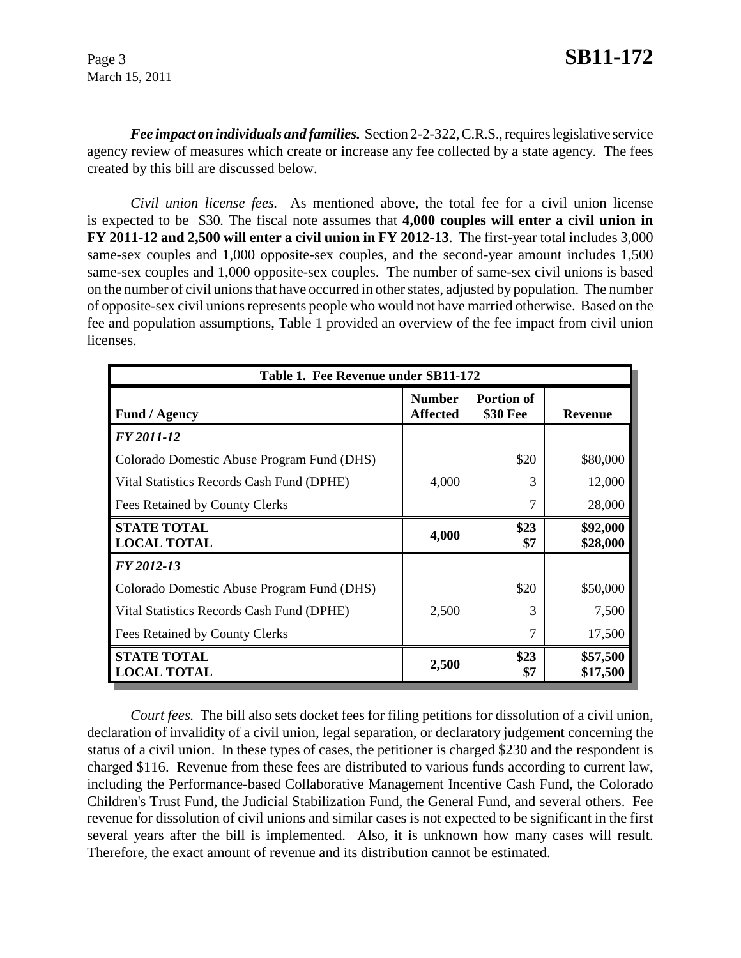*Fee impact on individuals and families.* Section 2-2-322, C.R.S., requires legislative service agency review of measures which create or increase any fee collected by a state agency. The fees created by this bill are discussed below.

*Civil union license fees.* As mentioned above, the total fee for a civil union license is expected to be \$30*.* The fiscal note assumes that **4,000 couples will enter a civil union in FY 2011-12 and 2,500 will enter a civil union in FY 2012-13**. The first-year total includes 3,000 same-sex couples and 1,000 opposite-sex couples, and the second-year amount includes 1,500 same-sex couples and 1,000 opposite-sex couples. The number of same-sex civil unions is based on the number of civil unions that have occurred in other states, adjusted by population. The number of opposite-sex civil unions represents people who would not have married otherwise. Based on the fee and population assumptions, Table 1 provided an overview of the fee impact from civil union licenses.

| Table 1. Fee Revenue under SB11-172        |                                  |                               |                      |  |
|--------------------------------------------|----------------------------------|-------------------------------|----------------------|--|
| <b>Fund / Agency</b>                       | <b>Number</b><br><b>Affected</b> | <b>Portion of</b><br>\$30 Fee | <b>Revenue</b>       |  |
| FY 2011-12                                 |                                  |                               |                      |  |
| Colorado Domestic Abuse Program Fund (DHS) |                                  | \$20                          | \$80,000             |  |
| Vital Statistics Records Cash Fund (DPHE)  | 4,000                            | 3                             | 12,000               |  |
| Fees Retained by County Clerks             |                                  | 7                             | 28,000               |  |
| <b>STATE TOTAL</b><br><b>LOCAL TOTAL</b>   | 4,000                            | \$23<br>\$7                   | \$92,000<br>\$28,000 |  |
| FY 2012-13                                 |                                  |                               |                      |  |
| Colorado Domestic Abuse Program Fund (DHS) |                                  | \$20                          | \$50,000             |  |
| Vital Statistics Records Cash Fund (DPHE)  | 2,500                            | 3                             | 7,500                |  |
| Fees Retained by County Clerks             |                                  |                               | 17,500               |  |
| <b>STATE TOTAL</b><br><b>LOCAL TOTAL</b>   | 2,500                            | \$23<br>\$7                   | \$57,500<br>\$17,500 |  |

*Court fees.* The bill also sets docket fees for filing petitions for dissolution of a civil union, declaration of invalidity of a civil union, legal separation, or declaratory judgement concerning the status of a civil union. In these types of cases, the petitioner is charged \$230 and the respondent is charged \$116. Revenue from these fees are distributed to various funds according to current law, including the Performance-based Collaborative Management Incentive Cash Fund, the Colorado Children's Trust Fund, the Judicial Stabilization Fund, the General Fund, and several others. Fee revenue for dissolution of civil unions and similar cases is not expected to be significant in the first several years after the bill is implemented. Also, it is unknown how many cases will result. Therefore, the exact amount of revenue and its distribution cannot be estimated.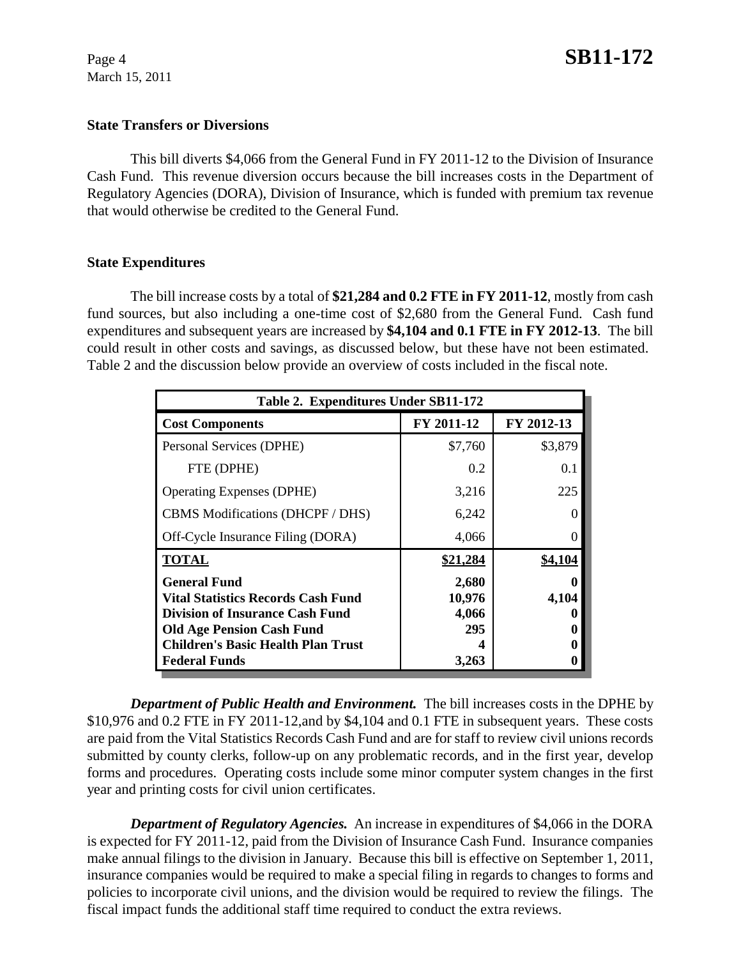### **State Transfers or Diversions**

This bill diverts \$4,066 from the General Fund in FY 2011-12 to the Division of Insurance Cash Fund. This revenue diversion occurs because the bill increases costs in the Department of Regulatory Agencies (DORA), Division of Insurance, which is funded with premium tax revenue that would otherwise be credited to the General Fund.

#### **State Expenditures**

The bill increase costs by a total of **\$21,284 and 0.2 FTE in FY 2011-12**, mostly from cash fund sources, but also including a one-time cost of \$2,680 from the General Fund. Cash fund expenditures and subsequent years are increased by **\$4,104 and 0.1 FTE in FY 2012-13**. The bill could result in other costs and savings, as discussed below, but these have not been estimated. Table 2 and the discussion below provide an overview of costs included in the fiscal note.

| Table 2. Expenditures Under SB11-172      |            |            |  |  |  |
|-------------------------------------------|------------|------------|--|--|--|
| <b>Cost Components</b>                    | FY 2011-12 | FY 2012-13 |  |  |  |
| Personal Services (DPHE)                  | \$7,760    | \$3,879    |  |  |  |
| FTE (DPHE)                                | 0.2        | 0.1        |  |  |  |
| <b>Operating Expenses (DPHE)</b>          | 3,216      | 225        |  |  |  |
| CBMS Modifications (DHCPF / DHS)          | 6,242      |            |  |  |  |
| Off-Cycle Insurance Filing (DORA)         | 4,066      |            |  |  |  |
| <b>TOTAL</b>                              | \$21,284   | \$4,104    |  |  |  |
| <b>General Fund</b>                       | 2,680      |            |  |  |  |
| <b>Vital Statistics Records Cash Fund</b> | 10,976     | 4,104      |  |  |  |
| <b>Division of Insurance Cash Fund</b>    | 4,066      |            |  |  |  |
| <b>Old Age Pension Cash Fund</b>          | 295        |            |  |  |  |
| <b>Children's Basic Health Plan Trust</b> |            |            |  |  |  |
| <b>Federal Funds</b>                      | 3,263      |            |  |  |  |

*Department of Public Health and Environment.* The bill increases costs in the DPHE by \$10,976 and 0.2 FTE in FY 2011-12,and by \$4,104 and 0.1 FTE in subsequent years. These costs are paid from the Vital Statistics Records Cash Fund and are for staff to review civil unions records submitted by county clerks, follow-up on any problematic records, and in the first year, develop forms and procedures. Operating costs include some minor computer system changes in the first year and printing costs for civil union certificates.

*Department of Regulatory Agencies.* An increase in expenditures of \$4,066 in the DORA is expected for FY 2011-12, paid from the Division of Insurance Cash Fund. Insurance companies make annual filings to the division in January. Because this bill is effective on September 1, 2011, insurance companies would be required to make a special filing in regards to changes to forms and policies to incorporate civil unions, and the division would be required to review the filings. The fiscal impact funds the additional staff time required to conduct the extra reviews.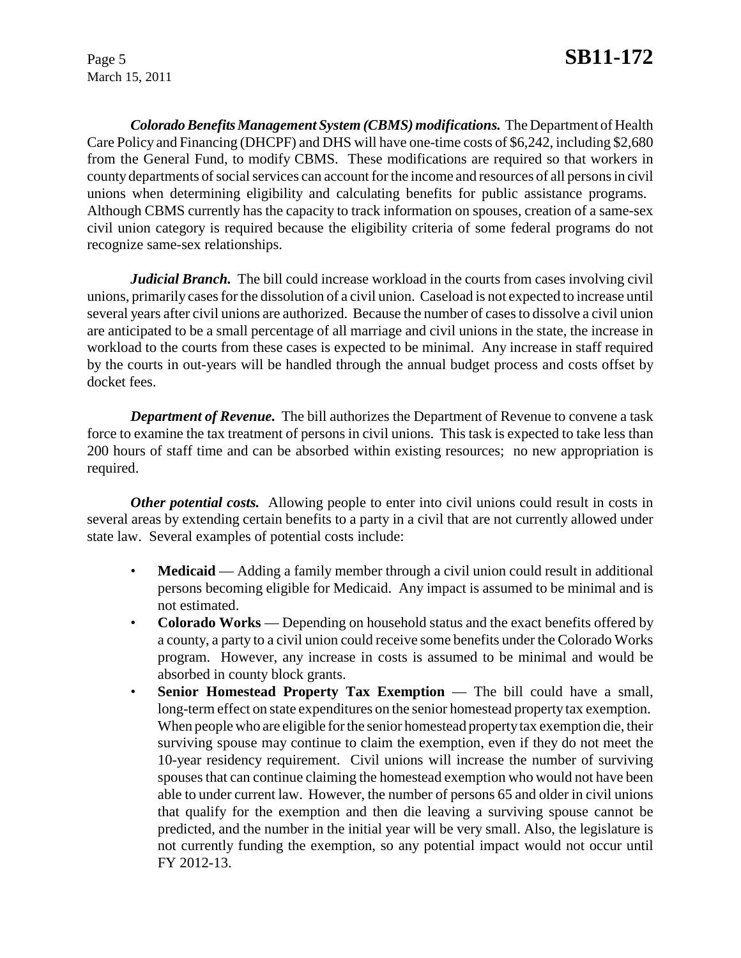*Colorado Benefits Management System (CBMS) modifications.* The Department of Health Care Policy and Financing (DHCPF) and DHS will have one-time costs of \$6,242, including \$2,680 from the General Fund, to modify CBMS. These modifications are required so that workers in county departments of social services can account for the income and resources of all persons in civil unions when determining eligibility and calculating benefits for public assistance programs. Although CBMS currently has the capacity to track information on spouses, creation of a same-sex civil union category is required because the eligibility criteria of some federal programs do not recognize same-sex relationships.

*Judicial Branch.* The bill could increase workload in the courts from cases involving civil unions, primarily cases for the dissolution of a civil union. Caseload is not expected to increase until several years after civil unions are authorized. Because the number of cases to dissolve a civil union are anticipated to be a small percentage of all marriage and civil unions in the state, the increase in workload to the courts from these cases is expected to be minimal. Any increase in staff required by the courts in out-years will be handled through the annual budget process and costs offset by docket fees.

*Department of Revenue.* The bill authorizes the Department of Revenue to convene a task force to examine the tax treatment of persons in civil unions. This task is expected to take less than 200 hours of staff time and can be absorbed within existing resources; no new appropriation is required.

*Other potential costs.* Allowing people to enter into civil unions could result in costs in several areas by extending certain benefits to a party in a civil that are not currently allowed under state law. Several examples of potential costs include:

- **Medicaid** Adding a family member through a civil union could result in additional persons becoming eligible for Medicaid. Any impact is assumed to be minimal and is not estimated.
- **Colorado Works** Depending on household status and the exact benefits offered by a county, a party to a civil union could receive some benefits under the Colorado Works program. However, any increase in costs is assumed to be minimal and would be absorbed in county block grants.
- **Senior Homestead Property Tax Exemption** The bill could have a small, long-term effect on state expenditures on the senior homestead property tax exemption. When people who are eligible for the senior homestead property tax exemption die, their surviving spouse may continue to claim the exemption, even if they do not meet the 10-year residency requirement. Civil unions will increase the number of surviving spouses that can continue claiming the homestead exemption who would not have been able to under current law. However, the number of persons 65 and older in civil unions that qualify for the exemption and then die leaving a surviving spouse cannot be predicted, and the number in the initial year will be very small. Also, the legislature is not currently funding the exemption, so any potential impact would not occur until FY 2012-13.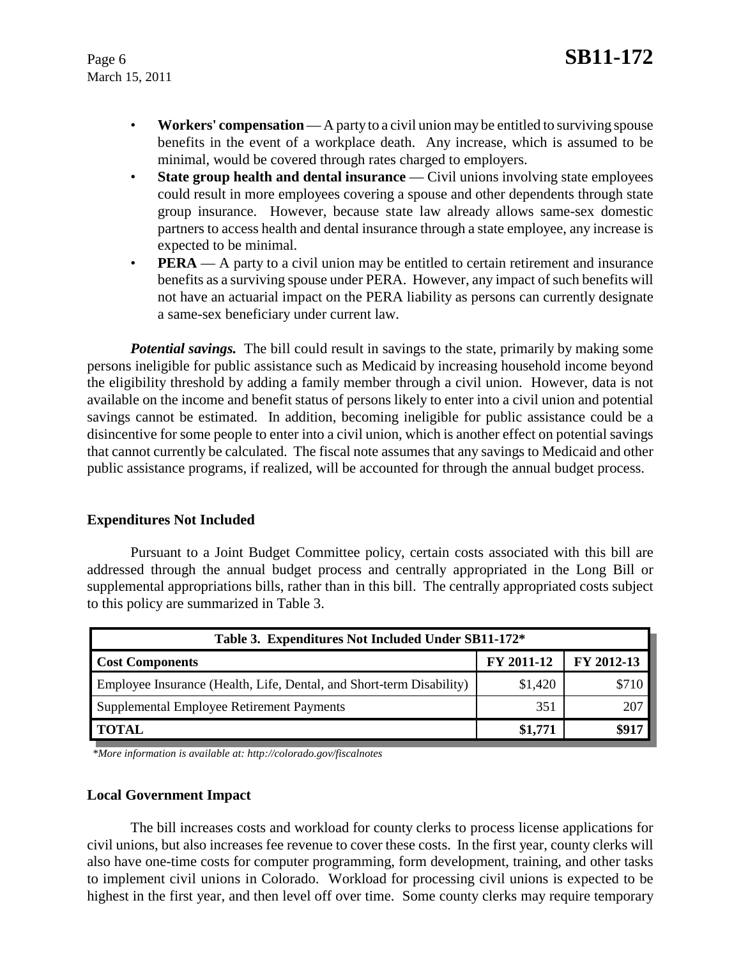- **Workers' compensation** A party to a civil union may be entitled to surviving spouse benefits in the event of a workplace death. Any increase, which is assumed to be minimal, would be covered through rates charged to employers.
- **State group health and dental insurance** Civil unions involving state employees could result in more employees covering a spouse and other dependents through state group insurance. However, because state law already allows same-sex domestic partners to access health and dental insurance through a state employee, any increase is expected to be minimal.
- **PERA** A party to a civil union may be entitled to certain retirement and insurance benefits as a surviving spouse under PERA. However, any impact of such benefits will not have an actuarial impact on the PERA liability as persons can currently designate a same-sex beneficiary under current law.

*Potential savings.* The bill could result in savings to the state, primarily by making some persons ineligible for public assistance such as Medicaid by increasing household income beyond the eligibility threshold by adding a family member through a civil union. However, data is not available on the income and benefit status of persons likely to enter into a civil union and potential savings cannot be estimated. In addition, becoming ineligible for public assistance could be a disincentive for some people to enter into a civil union, which is another effect on potential savings that cannot currently be calculated. The fiscal note assumes that any savings to Medicaid and other public assistance programs, if realized, will be accounted for through the annual budget process.

# **Expenditures Not Included**

Pursuant to a Joint Budget Committee policy, certain costs associated with this bill are addressed through the annual budget process and centrally appropriated in the Long Bill or supplemental appropriations bills, rather than in this bill. The centrally appropriated costs subject to this policy are summarized in Table 3.

| Table 3. Expenditures Not Included Under SB11-172*                   |            |            |  |  |
|----------------------------------------------------------------------|------------|------------|--|--|
| <b>Cost Components</b>                                               | FY 2011-12 | FY 2012-13 |  |  |
| Employee Insurance (Health, Life, Dental, and Short-term Disability) | \$1,420    | \$710      |  |  |
| Supplemental Employee Retirement Payments                            | 351        | 207        |  |  |
| <b>TOTAL</b>                                                         | \$1,771    | \$917      |  |  |

 *\*More information is available at: http://colorado.gov/fiscalnotes*

# **Local Government Impact**

The bill increases costs and workload for county clerks to process license applications for civil unions, but also increases fee revenue to cover these costs. In the first year, county clerks will also have one-time costs for computer programming, form development, training, and other tasks to implement civil unions in Colorado. Workload for processing civil unions is expected to be highest in the first year, and then level off over time. Some county clerks may require temporary